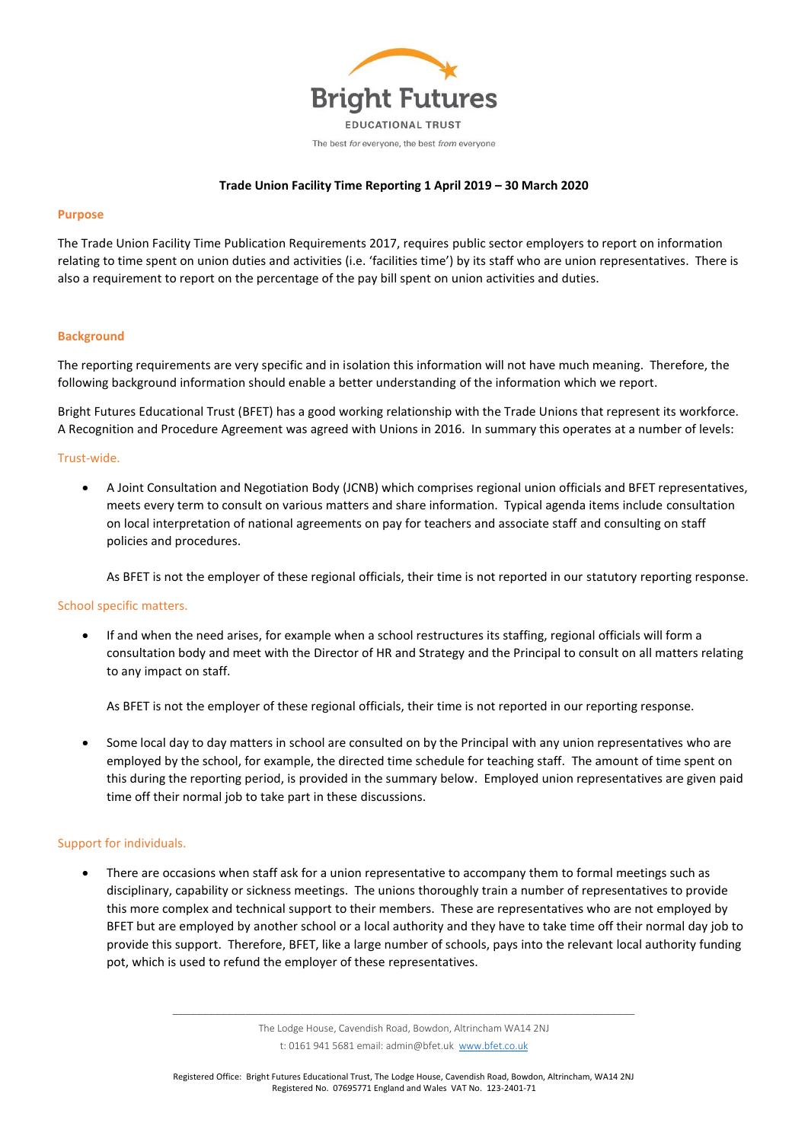

## **Trade Union Facility Time Reporting 1 April 2019 – 30 March 2020**

#### **Purpose**

The Trade Union Facility Time Publication Requirements 2017, requires public sector employers to report on information relating to time spent on union duties and activities (i.e. 'facilities time') by its staff who are union representatives. There is also a requirement to report on the percentage of the pay bill spent on union activities and duties.

## **Background**

The reporting requirements are very specific and in isolation this information will not have much meaning. Therefore, the following background information should enable a better understanding of the information which we report.

Bright Futures Educational Trust (BFET) has a good working relationship with the Trade Unions that represent its workforce. A Recognition and Procedure Agreement was agreed with Unions in 2016. In summary this operates at a number of levels:

#### Trust-wide.

• A Joint Consultation and Negotiation Body (JCNB) which comprises regional union officials and BFET representatives, meets every term to consult on various matters and share information. Typical agenda items include consultation on local interpretation of national agreements on pay for teachers and associate staff and consulting on staff policies and procedures.

As BFET is not the employer of these regional officials, their time is not reported in our statutory reporting response.

#### School specific matters.

• If and when the need arises, for example when a school restructures its staffing, regional officials will form a consultation body and meet with the Director of HR and Strategy and the Principal to consult on all matters relating to any impact on staff.

As BFET is not the employer of these regional officials, their time is not reported in our reporting response.

• Some local day to day matters in school are consulted on by the Principal with any union representatives who are employed by the school, for example, the directed time schedule for teaching staff. The amount of time spent on this during the reporting period, is provided in the summary below. Employed union representatives are given paid time off their normal job to take part in these discussions.

# Support for individuals.

• There are occasions when staff ask for a union representative to accompany them to formal meetings such as disciplinary, capability or sickness meetings. The unions thoroughly train a number of representatives to provide this more complex and technical support to their members. These are representatives who are not employed by BFET but are employed by another school or a local authority and they have to take time off their normal day job to provide this support. Therefore, BFET, like a large number of schools, pays into the relevant local authority funding pot, which is used to refund the employer of these representatives.

\_\_\_\_\_\_\_\_\_\_\_\_\_\_\_\_\_\_\_\_\_\_\_\_\_\_\_\_\_\_\_\_\_\_\_\_\_\_\_\_\_\_\_\_\_\_\_\_\_\_\_\_\_\_\_\_\_\_\_\_\_\_\_\_\_\_\_\_\_\_\_\_\_\_\_\_ The Lodge House, Cavendish Road, Bowdon, Altrincham WA14 2NJ t: 0161 941 5681 email: admin@bfet.uk [www.bfet.co.uk](http://www.bfet.co.uk/)